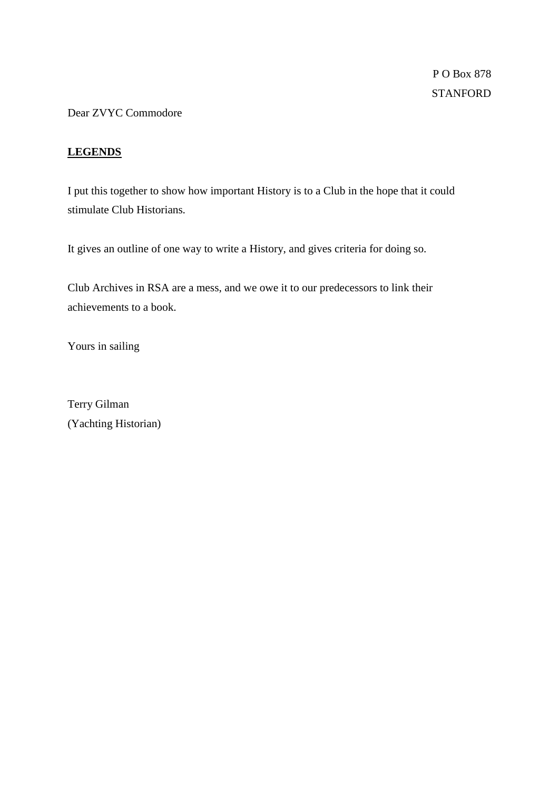Dear ZVYC Commodore

# **LEGENDS**

I put this together to show how important History is to a Club in the hope that it could stimulate Club Historians.

It gives an outline of one way to write a History, and gives criteria for doing so.

Club Archives in RSA are a mess, and we owe it to our predecessors to link their achievements to a book.

Yours in sailing

Terry Gilman (Yachting Historian)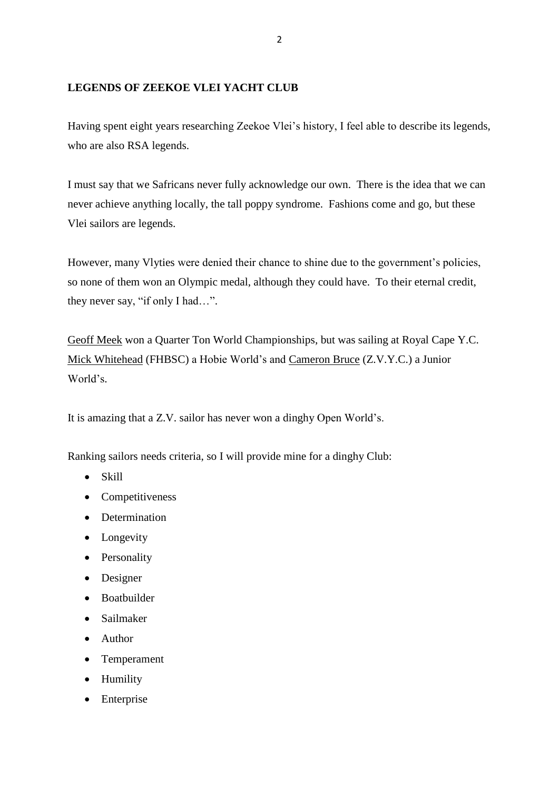# **LEGENDS OF ZEEKOE VLEI YACHT CLUB**

Having spent eight years researching Zeekoe Vlei's history, I feel able to describe its legends, who are also RSA legends.

I must say that we Safricans never fully acknowledge our own. There is the idea that we can never achieve anything locally, the tall poppy syndrome. Fashions come and go, but these Vlei sailors are legends.

However, many Vlyties were denied their chance to shine due to the government's policies, so none of them won an Olympic medal, although they could have. To their eternal credit, they never say, "if only I had…".

Geoff Meek won a Quarter Ton World Championships, but was sailing at Royal Cape Y.C. Mick Whitehead (FHBSC) a Hobie World's and Cameron Bruce (Z.V.Y.C.) a Junior World's.

It is amazing that a Z.V. sailor has never won a dinghy Open World's.

Ranking sailors needs criteria, so I will provide mine for a dinghy Club:

- Skill
- Competitiveness
- Determination
- Longevity
- Personality
- Designer
- Boatbuilder
- Sailmaker
- Author
- Temperament
- Humility
- Enterprise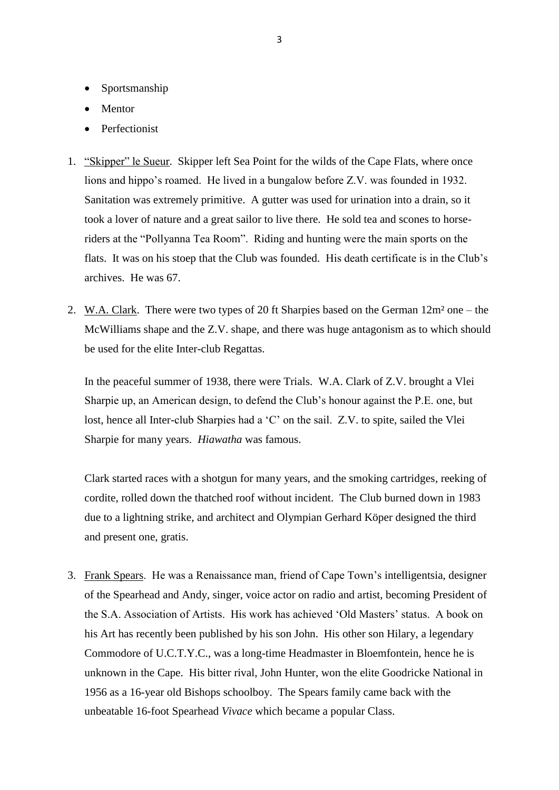- Sportsmanship
- Mentor
- Perfectionist
- 1. "Skipper" le Sueur. Skipper left Sea Point for the wilds of the Cape Flats, where once lions and hippo's roamed. He lived in a bungalow before Z.V. was founded in 1932. Sanitation was extremely primitive. A gutter was used for urination into a drain, so it took a lover of nature and a great sailor to live there. He sold tea and scones to horseriders at the "Pollyanna Tea Room". Riding and hunting were the main sports on the flats. It was on his stoep that the Club was founded. His death certificate is in the Club's archives. He was 67.
- 2. W.A. Clark. There were two types of 20 ft Sharpies based on the German  $12m^2$  one the McWilliams shape and the Z.V. shape, and there was huge antagonism as to which should be used for the elite Inter-club Regattas.

In the peaceful summer of 1938, there were Trials. W.A. Clark of Z.V. brought a Vlei Sharpie up, an American design, to defend the Club's honour against the P.E. one, but lost, hence all Inter-club Sharpies had a 'C' on the sail. Z.V. to spite, sailed the Vlei Sharpie for many years. *Hiawatha* was famous.

Clark started races with a shotgun for many years, and the smoking cartridges, reeking of cordite, rolled down the thatched roof without incident. The Club burned down in 1983 due to a lightning strike, and architect and Olympian Gerhard Köper designed the third and present one, gratis.

3. Frank Spears. He was a Renaissance man, friend of Cape Town's intelligentsia, designer of the Spearhead and Andy, singer, voice actor on radio and artist, becoming President of the S.A. Association of Artists. His work has achieved 'Old Masters' status. A book on his Art has recently been published by his son John. His other son Hilary, a legendary Commodore of U.C.T.Y.C., was a long-time Headmaster in Bloemfontein, hence he is unknown in the Cape. His bitter rival, John Hunter, won the elite Goodricke National in 1956 as a 16-year old Bishops schoolboy. The Spears family came back with the unbeatable 16-foot Spearhead *Vivace* which became a popular Class.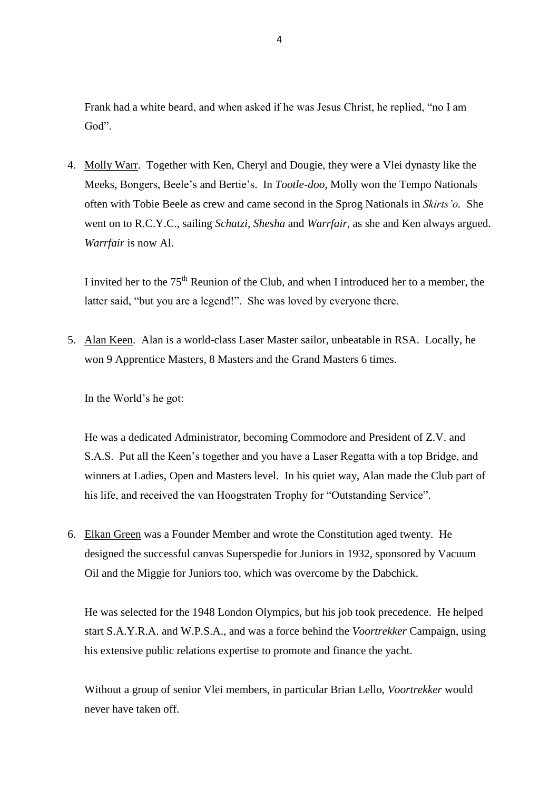Frank had a white beard, and when asked if he was Jesus Christ, he replied, "no I am God".

4. Molly Warr. Together with Ken, Cheryl and Dougie, they were a Vlei dynasty like the Meeks, Bongers, Beele's and Bertie's. In *Tootle-doo*, Molly won the Tempo Nationals often with Tobie Beele as crew and came second in the Sprog Nationals in *Skirts'o.* She went on to R.C.Y.C., sailing *Schatzi, Shesha* and *Warrfair*, as she and Ken always argued. *Warrfair* is now Al.

I invited her to the  $75<sup>th</sup>$  Reunion of the Club, and when I introduced her to a member, the latter said, "but you are a legend!". She was loved by everyone there.

5. Alan Keen. Alan is a world-class Laser Master sailor, unbeatable in RSA. Locally, he won 9 Apprentice Masters, 8 Masters and the Grand Masters 6 times.

In the World's he got:

He was a dedicated Administrator, becoming Commodore and President of Z.V. and S.A.S. Put all the Keen's together and you have a Laser Regatta with a top Bridge, and winners at Ladies, Open and Masters level. In his quiet way, Alan made the Club part of his life, and received the van Hoogstraten Trophy for "Outstanding Service".

6. Elkan Green was a Founder Member and wrote the Constitution aged twenty. He designed the successful canvas Superspedie for Juniors in 1932, sponsored by Vacuum Oil and the Miggie for Juniors too, which was overcome by the Dabchick.

He was selected for the 1948 London Olympics, but his job took precedence. He helped start S.A.Y.R.A. and W.P.S.A., and was a force behind the *Voortrekker* Campaign, using his extensive public relations expertise to promote and finance the yacht.

Without a group of senior Vlei members, in particular Brian Lello, *Voortrekker* would never have taken off.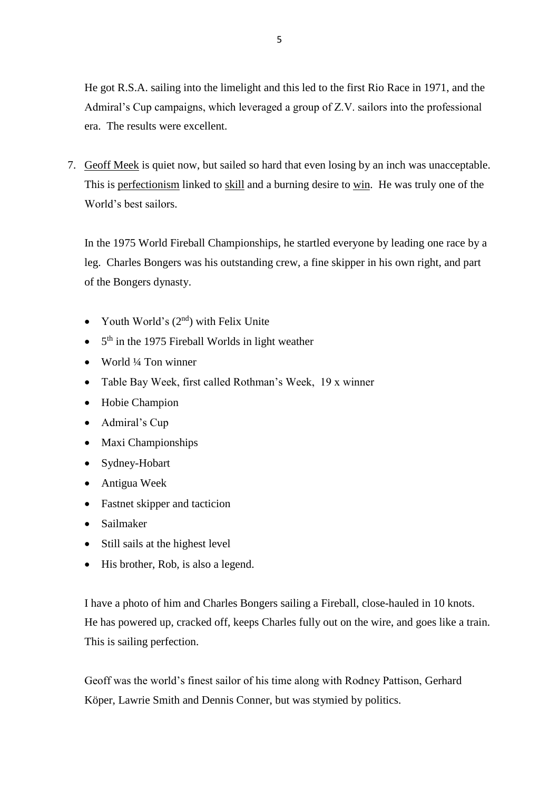He got R.S.A. sailing into the limelight and this led to the first Rio Race in 1971, and the Admiral's Cup campaigns, which leveraged a group of Z.V. sailors into the professional era. The results were excellent.

7. Geoff Meek is quiet now, but sailed so hard that even losing by an inch was unacceptable. This is perfectionism linked to skill and a burning desire to win. He was truly one of the World's best sailors.

In the 1975 World Fireball Championships, he startled everyone by leading one race by a leg. Charles Bongers was his outstanding crew, a fine skipper in his own right, and part of the Bongers dynasty.

- Youth World's  $(2<sup>nd</sup>)$  with Felix Unite
- $\bullet$  5<sup>th</sup> in the 1975 Fireball Worlds in light weather
- $\bullet$  World ¼ Ton winner
- Table Bay Week, first called Rothman's Week, 19 x winner
- Hobie Champion
- Admiral's Cup
- Maxi Championships
- Sydney-Hobart
- Antigua Week
- Fastnet skipper and tacticion
- Sailmaker
- Still sails at the highest level
- His brother, Rob, is also a legend.

I have a photo of him and Charles Bongers sailing a Fireball, close-hauled in 10 knots. He has powered up, cracked off, keeps Charles fully out on the wire, and goes like a train. This is sailing perfection.

Geoff was the world's finest sailor of his time along with Rodney Pattison, Gerhard Köper, Lawrie Smith and Dennis Conner, but was stymied by politics.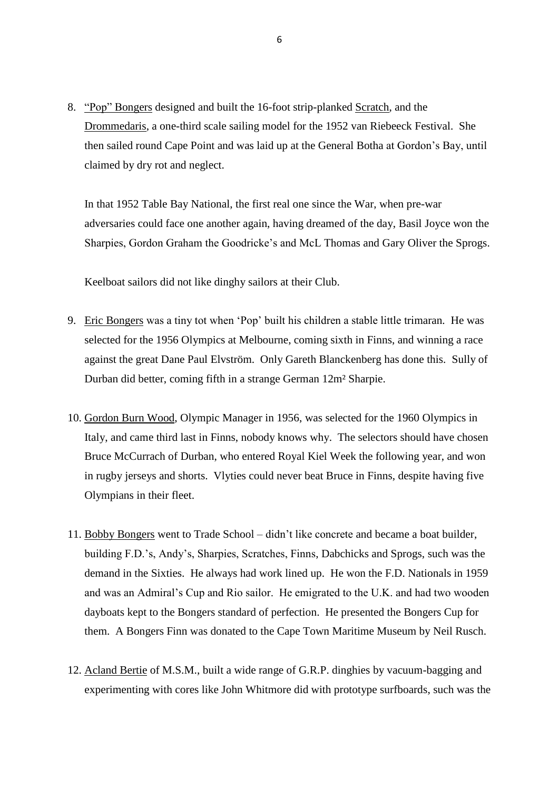8. "Pop" Bongers designed and built the 16-foot strip-planked Scratch, and the Drommedaris, a one-third scale sailing model for the 1952 van Riebeeck Festival. She then sailed round Cape Point and was laid up at the General Botha at Gordon's Bay, until claimed by dry rot and neglect.

In that 1952 Table Bay National, the first real one since the War, when pre-war adversaries could face one another again, having dreamed of the day, Basil Joyce won the Sharpies, Gordon Graham the Goodricke's and McL Thomas and Gary Oliver the Sprogs.

Keelboat sailors did not like dinghy sailors at their Club.

- 9. Eric Bongers was a tiny tot when 'Pop' built his children a stable little trimaran. He was selected for the 1956 Olympics at Melbourne, coming sixth in Finns, and winning a race against the great Dane Paul Elvström. Only Gareth Blanckenberg has done this. Sully of Durban did better, coming fifth in a strange German 12m² Sharpie.
- 10. Gordon Burn Wood, Olympic Manager in 1956, was selected for the 1960 Olympics in Italy, and came third last in Finns, nobody knows why. The selectors should have chosen Bruce McCurrach of Durban, who entered Royal Kiel Week the following year, and won in rugby jerseys and shorts. Vlyties could never beat Bruce in Finns, despite having five Olympians in their fleet.
- 11. Bobby Bongers went to Trade School didn't like concrete and became a boat builder, building F.D.'s, Andy's, Sharpies, Scratches, Finns, Dabchicks and Sprogs, such was the demand in the Sixties. He always had work lined up. He won the F.D. Nationals in 1959 and was an Admiral's Cup and Rio sailor. He emigrated to the U.K. and had two wooden dayboats kept to the Bongers standard of perfection. He presented the Bongers Cup for them. A Bongers Finn was donated to the Cape Town Maritime Museum by Neil Rusch.
- 12. Acland Bertie of M.S.M., built a wide range of G.R.P. dinghies by vacuum-bagging and experimenting with cores like John Whitmore did with prototype surfboards, such was the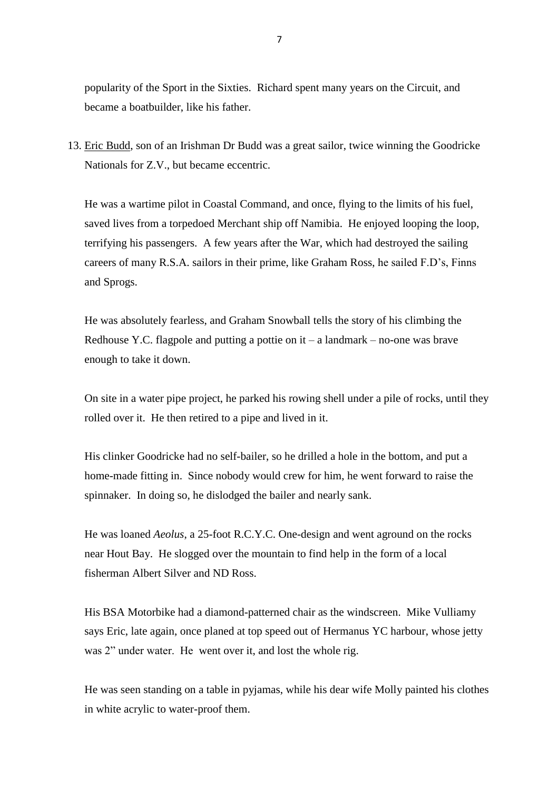popularity of the Sport in the Sixties. Richard spent many years on the Circuit, and became a boatbuilder, like his father.

13. Eric Budd, son of an Irishman Dr Budd was a great sailor, twice winning the Goodricke Nationals for Z.V., but became eccentric.

He was a wartime pilot in Coastal Command, and once, flying to the limits of his fuel, saved lives from a torpedoed Merchant ship off Namibia. He enjoyed looping the loop, terrifying his passengers. A few years after the War, which had destroyed the sailing careers of many R.S.A. sailors in their prime, like Graham Ross, he sailed F.D's, Finns and Sprogs.

He was absolutely fearless, and Graham Snowball tells the story of his climbing the Redhouse Y.C. flagpole and putting a pottie on  $it - a$  landmark – no-one was brave enough to take it down.

On site in a water pipe project, he parked his rowing shell under a pile of rocks, until they rolled over it. He then retired to a pipe and lived in it.

His clinker Goodricke had no self-bailer, so he drilled a hole in the bottom, and put a home-made fitting in. Since nobody would crew for him, he went forward to raise the spinnaker. In doing so, he dislodged the bailer and nearly sank.

He was loaned *Aeolus*, a 25-foot R.C.Y.C. One-design and went aground on the rocks near Hout Bay. He slogged over the mountain to find help in the form of a local fisherman Albert Silver and ND Ross.

His BSA Motorbike had a diamond-patterned chair as the windscreen. Mike Vulliamy says Eric, late again, once planed at top speed out of Hermanus YC harbour, whose jetty was 2" under water. He went over it, and lost the whole rig.

He was seen standing on a table in pyjamas, while his dear wife Molly painted his clothes in white acrylic to water-proof them.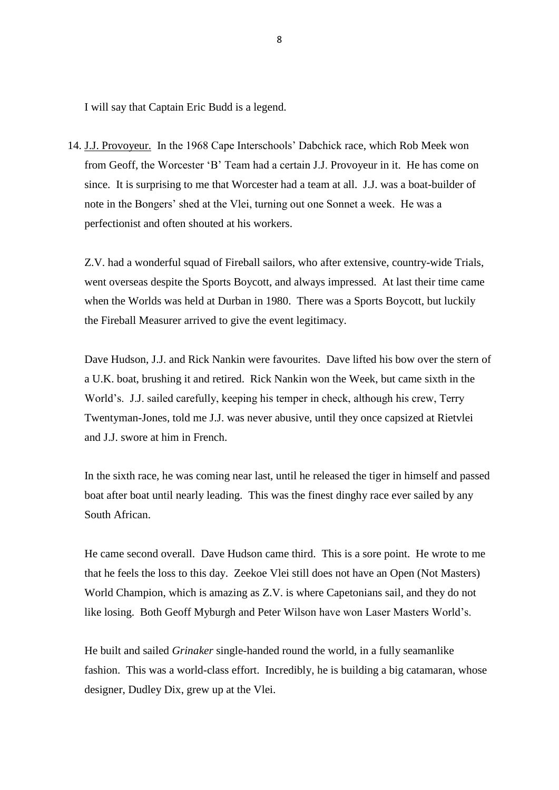I will say that Captain Eric Budd is a legend.

14. J.J. Provoyeur. In the 1968 Cape Interschools' Dabchick race, which Rob Meek won from Geoff, the Worcester 'B' Team had a certain J.J. Provoyeur in it. He has come on since. It is surprising to me that Worcester had a team at all. J.J. was a boat-builder of note in the Bongers' shed at the Vlei, turning out one Sonnet a week. He was a perfectionist and often shouted at his workers.

Z.V. had a wonderful squad of Fireball sailors, who after extensive, country-wide Trials, went overseas despite the Sports Boycott, and always impressed. At last their time came when the Worlds was held at Durban in 1980. There was a Sports Boycott, but luckily the Fireball Measurer arrived to give the event legitimacy.

Dave Hudson, J.J. and Rick Nankin were favourites. Dave lifted his bow over the stern of a U.K. boat, brushing it and retired. Rick Nankin won the Week, but came sixth in the World's. J.J. sailed carefully, keeping his temper in check, although his crew, Terry Twentyman-Jones, told me J.J. was never abusive, until they once capsized at Rietvlei and J.J. swore at him in French.

In the sixth race, he was coming near last, until he released the tiger in himself and passed boat after boat until nearly leading. This was the finest dinghy race ever sailed by any South African.

He came second overall. Dave Hudson came third. This is a sore point. He wrote to me that he feels the loss to this day. Zeekoe Vlei still does not have an Open (Not Masters) World Champion, which is amazing as Z.V. is where Capetonians sail, and they do not like losing. Both Geoff Myburgh and Peter Wilson have won Laser Masters World's.

He built and sailed *Grinaker* single-handed round the world, in a fully seamanlike fashion. This was a world-class effort. Incredibly, he is building a big catamaran, whose designer, Dudley Dix, grew up at the Vlei.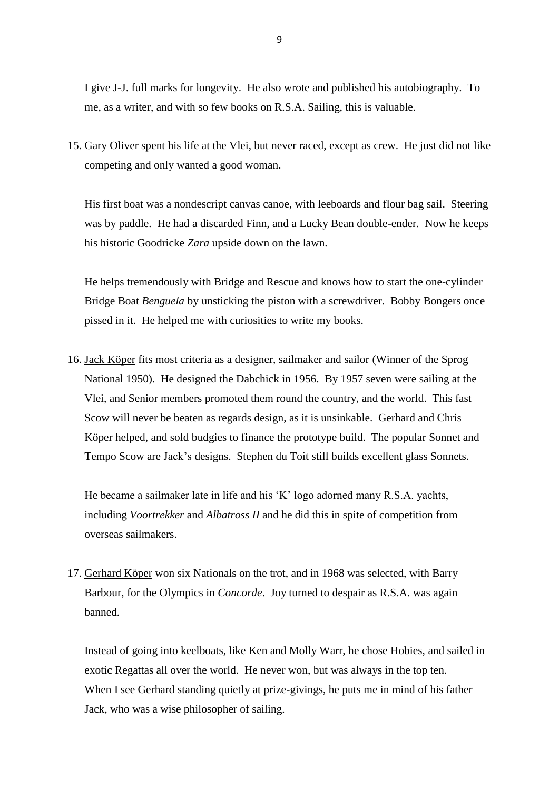I give J-J. full marks for longevity. He also wrote and published his autobiography. To me, as a writer, and with so few books on R.S.A. Sailing, this is valuable.

15. Gary Oliver spent his life at the Vlei, but never raced, except as crew. He just did not like competing and only wanted a good woman.

His first boat was a nondescript canvas canoe, with leeboards and flour bag sail. Steering was by paddle. He had a discarded Finn, and a Lucky Bean double-ender. Now he keeps his historic Goodricke *Zara* upside down on the lawn.

He helps tremendously with Bridge and Rescue and knows how to start the one-cylinder Bridge Boat *Benguela* by unsticking the piston with a screwdriver. Bobby Bongers once pissed in it. He helped me with curiosities to write my books.

16. Jack Köper fits most criteria as a designer, sailmaker and sailor (Winner of the Sprog National 1950). He designed the Dabchick in 1956. By 1957 seven were sailing at the Vlei, and Senior members promoted them round the country, and the world. This fast Scow will never be beaten as regards design, as it is unsinkable. Gerhard and Chris Köper helped, and sold budgies to finance the prototype build. The popular Sonnet and Tempo Scow are Jack's designs. Stephen du Toit still builds excellent glass Sonnets.

He became a sailmaker late in life and his 'K' logo adorned many R.S.A. yachts, including *Voortrekker* and *Albatross II* and he did this in spite of competition from overseas sailmakers.

17. Gerhard Köper won six Nationals on the trot, and in 1968 was selected, with Barry Barbour, for the Olympics in *Concorde*. Joy turned to despair as R.S.A. was again banned.

Instead of going into keelboats, like Ken and Molly Warr, he chose Hobies, and sailed in exotic Regattas all over the world. He never won, but was always in the top ten. When I see Gerhard standing quietly at prize-givings, he puts me in mind of his father Jack, who was a wise philosopher of sailing.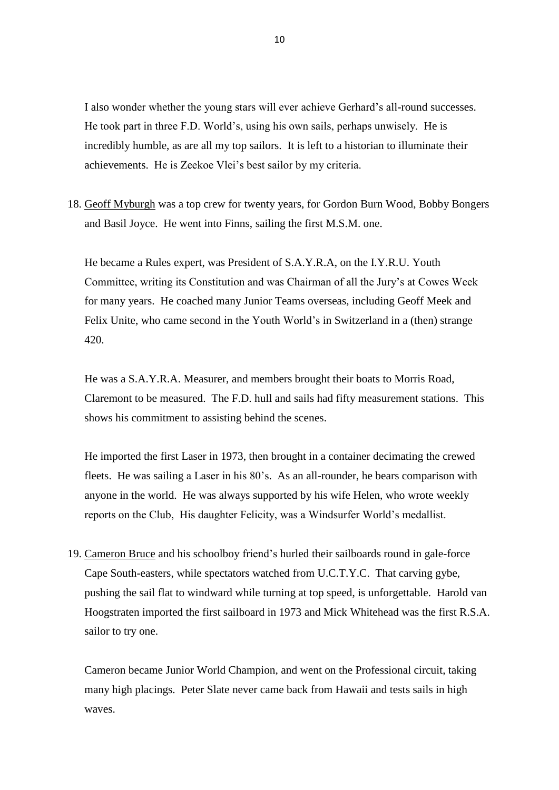I also wonder whether the young stars will ever achieve Gerhard's all-round successes. He took part in three F.D. World's, using his own sails, perhaps unwisely. He is incredibly humble, as are all my top sailors. It is left to a historian to illuminate their achievements. He is Zeekoe Vlei's best sailor by my criteria.

18. Geoff Myburgh was a top crew for twenty years, for Gordon Burn Wood, Bobby Bongers and Basil Joyce. He went into Finns, sailing the first M.S.M. one.

He became a Rules expert, was President of S.A.Y.R.A, on the I.Y.R.U. Youth Committee, writing its Constitution and was Chairman of all the Jury's at Cowes Week for many years. He coached many Junior Teams overseas, including Geoff Meek and Felix Unite, who came second in the Youth World's in Switzerland in a (then) strange 420.

He was a S.A.Y.R.A. Measurer, and members brought their boats to Morris Road, Claremont to be measured. The F.D. hull and sails had fifty measurement stations. This shows his commitment to assisting behind the scenes.

He imported the first Laser in 1973, then brought in a container decimating the crewed fleets. He was sailing a Laser in his 80's. As an all-rounder, he bears comparison with anyone in the world. He was always supported by his wife Helen, who wrote weekly reports on the Club, His daughter Felicity, was a Windsurfer World's medallist.

19. Cameron Bruce and his schoolboy friend's hurled their sailboards round in gale-force Cape South-easters, while spectators watched from U.C.T.Y.C. That carving gybe, pushing the sail flat to windward while turning at top speed, is unforgettable. Harold van Hoogstraten imported the first sailboard in 1973 and Mick Whitehead was the first R.S.A. sailor to try one.

Cameron became Junior World Champion, and went on the Professional circuit, taking many high placings. Peter Slate never came back from Hawaii and tests sails in high waves.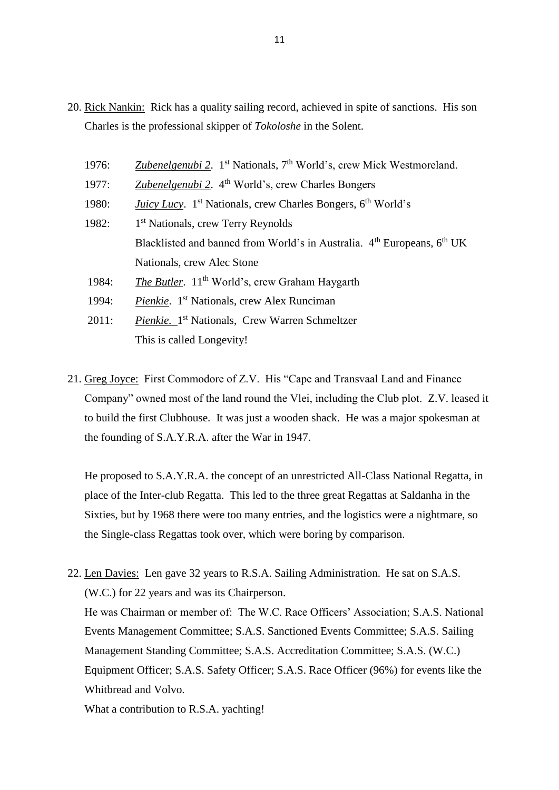- 20. Rick Nankin: Rick has a quality sailing record, achieved in spite of sanctions. His son Charles is the professional skipper of *Tokoloshe* in the Solent.
	- 1976: *Zubenelgenubi 2*. 1st Nationals, 7th World's, crew Mick Westmoreland.
	- 1977: *Zubenelgenubi 2*. 4th World's, crew Charles Bongers
	- 1980: *Juicy Lucy.* 1<sup>st</sup> Nationals, crew Charles Bongers, 6<sup>th</sup> World's
	- $1982:$ 1<sup>st</sup> Nationals, crew Terry Reynolds Blacklisted and banned from World's in Australia.  $4<sup>th</sup> Europeans, 6<sup>th</sup> UK$ Nationals, crew Alec Stone
	- 1984: *The Butler*. 11<sup>th</sup> World's, crew Graham Haygarth
	- 1994: *Pienkie*. 1st Nationals, crew Alex Runciman
	- 2011: *Pienkie*. 1<sup>st</sup> Nationals, Crew Warren Schmeltzer This is called Longevity!
- 21. Greg Joyce: First Commodore of Z.V. His "Cape and Transvaal Land and Finance Company" owned most of the land round the Vlei, including the Club plot. Z.V. leased it to build the first Clubhouse. It was just a wooden shack. He was a major spokesman at the founding of S.A.Y.R.A. after the War in 1947.

He proposed to S.A.Y.R.A. the concept of an unrestricted All-Class National Regatta, in place of the Inter-club Regatta. This led to the three great Regattas at Saldanha in the Sixties, but by 1968 there were too many entries, and the logistics were a nightmare, so the Single-class Regattas took over, which were boring by comparison.

22. Len Davies: Len gave 32 years to R.S.A. Sailing Administration. He sat on S.A.S. (W.C.) for 22 years and was its Chairperson. He was Chairman or member of: The W.C. Race Officers' Association; S.A.S. National Events Management Committee; S.A.S. Sanctioned Events Committee; S.A.S. Sailing Management Standing Committee; S.A.S. Accreditation Committee; S.A.S. (W.C.) Equipment Officer; S.A.S. Safety Officer; S.A.S. Race Officer (96%) for events like the Whitbread and Volvo.

What a contribution to R.S.A. yachting!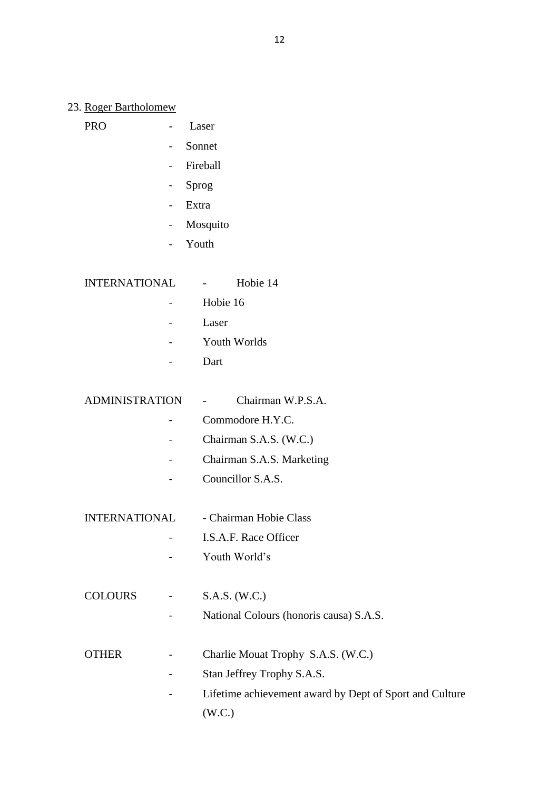#### 23. Roger Bartholomew

| <b>PRO</b> |  |
|------------|--|
|            |  |

- Sonnet

Laser

- Fireball
- Sprog
- Extra
- Mosquito
- Youth

INTERNATIONAL - Hobie 14

- 
- Hobie 16
- Laser
- Youth Worlds
- Dart

ADMINISTRATION - Chairman W.P.S.A.

- Commodore H.Y.C.
- Chairman S.A.S. (W.C.)
- Chairman S.A.S. Marketing
- Councillor S.A.S.
- INTERNATIONAL Chairman Hobie Class
	- I.S.A.F. Race Officer
	- Youth World's
- COLOURS S.A.S. (W.C.)
	- National Colours (honoris causa) S.A.S.
- OTHER Charlie Mouat Trophy S.A.S. (W.C.)
	- Stan Jeffrey Trophy S.A.S.
	- Lifetime achievement award by Dept of Sport and Culture (W.C.)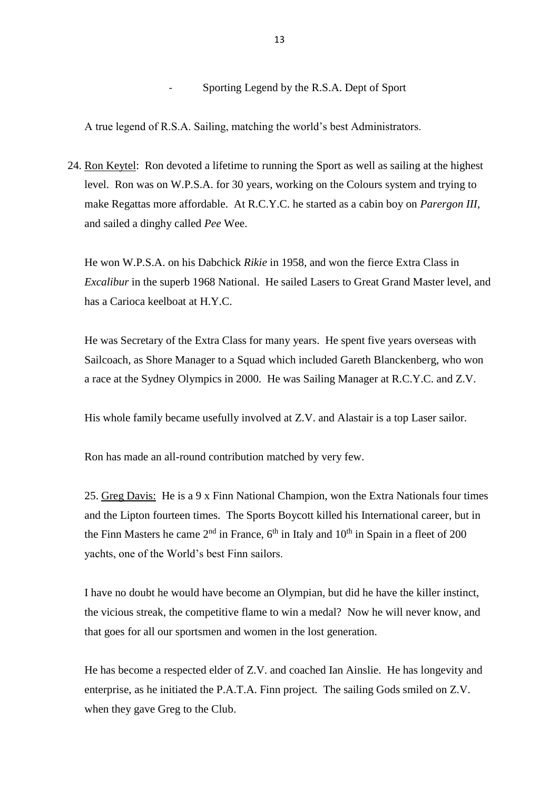- Sporting Legend by the R.S.A. Dept of Sport

A true legend of R.S.A. Sailing, matching the world's best Administrators.

24. Ron Keytel: Ron devoted a lifetime to running the Sport as well as sailing at the highest level. Ron was on W.P.S.A. for 30 years, working on the Colours system and trying to make Regattas more affordable. At R.C.Y.C. he started as a cabin boy on *Parergon III,* and sailed a dinghy called *Pee* Wee.

He won W.P.S.A. on his Dabchick *Rikie* in 1958, and won the fierce Extra Class in *Excalibur* in the superb 1968 National. He sailed Lasers to Great Grand Master level, and has a Carioca keelboat at H.Y.C.

He was Secretary of the Extra Class for many years. He spent five years overseas with Sailcoach, as Shore Manager to a Squad which included Gareth Blanckenberg, who won a race at the Sydney Olympics in 2000. He was Sailing Manager at R.C.Y.C. and Z.V.

His whole family became usefully involved at Z.V. and Alastair is a top Laser sailor.

Ron has made an all-round contribution matched by very few.

25. Greg Davis: He is a 9 x Finn National Champion, won the Extra Nationals four times and the Lipton fourteen times. The Sports Boycott killed his International career, but in the Finn Masters he came  $2<sup>nd</sup>$  in France,  $6<sup>th</sup>$  in Italy and  $10<sup>th</sup>$  in Spain in a fleet of 200 yachts, one of the World's best Finn sailors.

I have no doubt he would have become an Olympian, but did he have the killer instinct, the vicious streak, the competitive flame to win a medal? Now he will never know, and that goes for all our sportsmen and women in the lost generation.

He has become a respected elder of Z.V. and coached Ian Ainslie. He has longevity and enterprise, as he initiated the P.A.T.A. Finn project. The sailing Gods smiled on Z.V. when they gave Greg to the Club.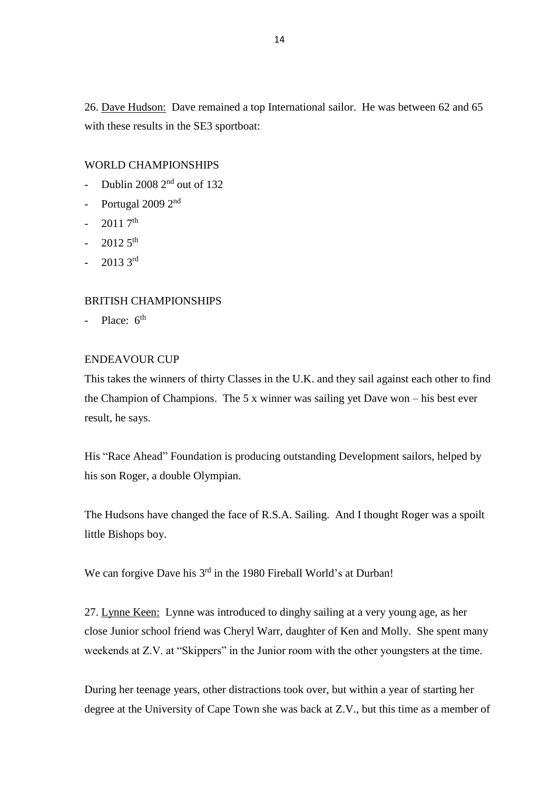26. Dave Hudson: Dave remained a top International sailor. He was between 62 and 65 with these results in the SE3 sportboat:

#### WORLD CHAMPIONSHIPS

- Dublin 2008 2<sup>nd</sup> out of 132
- Portugal 2009 2<sup>nd</sup>
- $-20117$ <sup>th</sup>
- $-20125$ <sup>th</sup>
- $-20133^{rd}$

#### BRITISH CHAMPIONSHIPS

Place:  $6<sup>th</sup>$ 

## ENDEAVOUR CUP

This takes the winners of thirty Classes in the U.K. and they sail against each other to find the Champion of Champions. The 5 x winner was sailing yet Dave won – his best ever result, he says.

His "Race Ahead" Foundation is producing outstanding Development sailors, helped by his son Roger, a double Olympian.

The Hudsons have changed the face of R.S.A. Sailing. And I thought Roger was a spoilt little Bishops boy.

We can forgive Dave his 3<sup>rd</sup> in the 1980 Fireball World's at Durban!

27. Lynne Keen: Lynne was introduced to dinghy sailing at a very young age, as her close Junior school friend was Cheryl Warr, daughter of Ken and Molly. She spent many weekends at Z.V. at "Skippers" in the Junior room with the other youngsters at the time.

During her teenage years, other distractions took over, but within a year of starting her degree at the University of Cape Town she was back at Z.V., but this time as a member of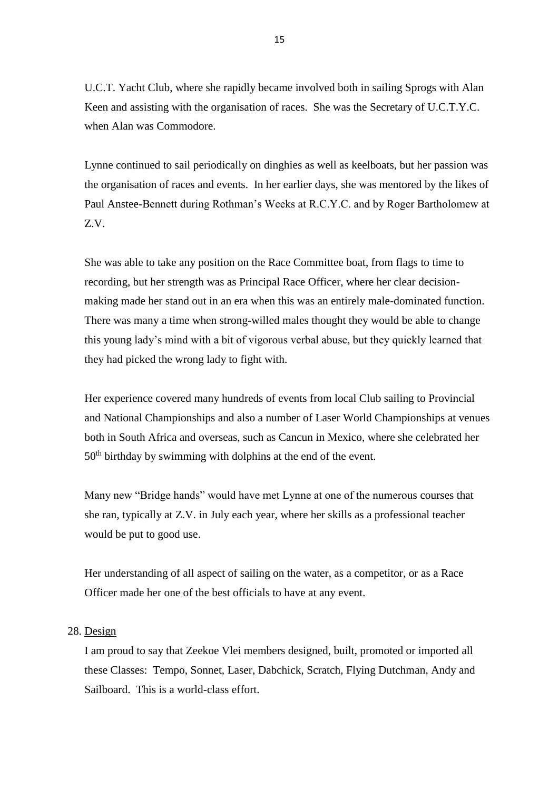U.C.T. Yacht Club, where she rapidly became involved both in sailing Sprogs with Alan Keen and assisting with the organisation of races. She was the Secretary of U.C.T.Y.C. when Alan was Commodore.

Lynne continued to sail periodically on dinghies as well as keelboats, but her passion was the organisation of races and events. In her earlier days, she was mentored by the likes of Paul Anstee-Bennett during Rothman's Weeks at R.C.Y.C. and by Roger Bartholomew at Z.V.

She was able to take any position on the Race Committee boat, from flags to time to recording, but her strength was as Principal Race Officer, where her clear decisionmaking made her stand out in an era when this was an entirely male-dominated function. There was many a time when strong-willed males thought they would be able to change this young lady's mind with a bit of vigorous verbal abuse, but they quickly learned that they had picked the wrong lady to fight with.

Her experience covered many hundreds of events from local Club sailing to Provincial and National Championships and also a number of Laser World Championships at venues both in South Africa and overseas, such as Cancun in Mexico, where she celebrated her 50th birthday by swimming with dolphins at the end of the event.

Many new "Bridge hands" would have met Lynne at one of the numerous courses that she ran, typically at Z.V. in July each year, where her skills as a professional teacher would be put to good use.

Her understanding of all aspect of sailing on the water, as a competitor, or as a Race Officer made her one of the best officials to have at any event.

#### 28. Design

I am proud to say that Zeekoe Vlei members designed, built, promoted or imported all these Classes: Tempo, Sonnet, Laser, Dabchick, Scratch, Flying Dutchman, Andy and Sailboard. This is a world-class effort.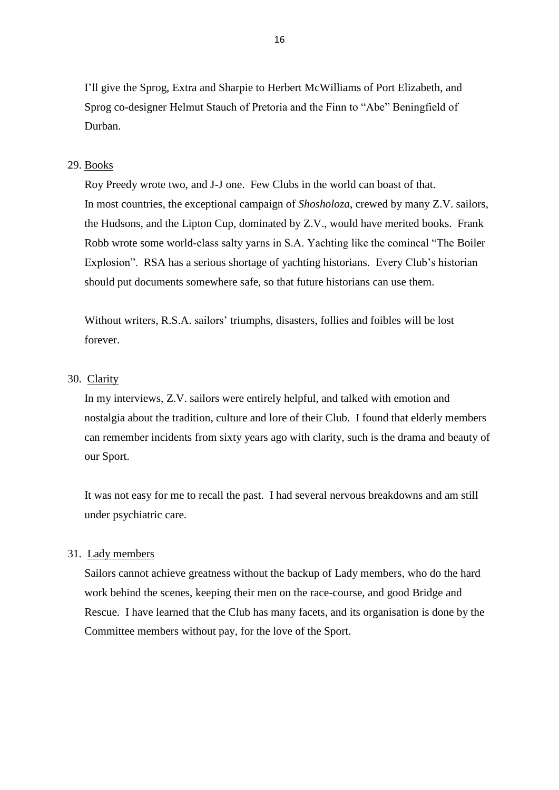I'll give the Sprog, Extra and Sharpie to Herbert McWilliams of Port Elizabeth, and Sprog co-designer Helmut Stauch of Pretoria and the Finn to "Abe" Beningfield of Durban.

### 29. Books

Roy Preedy wrote two, and J-J one. Few Clubs in the world can boast of that. In most countries, the exceptional campaign of *Shosholoza*, crewed by many Z.V. sailors, the Hudsons, and the Lipton Cup, dominated by Z.V., would have merited books. Frank Robb wrote some world-class salty yarns in S.A. Yachting like the comincal "The Boiler Explosion". RSA has a serious shortage of yachting historians. Every Club's historian should put documents somewhere safe, so that future historians can use them.

Without writers, R.S.A. sailors' triumphs, disasters, follies and foibles will be lost forever.

#### 30. Clarity

In my interviews, Z.V. sailors were entirely helpful, and talked with emotion and nostalgia about the tradition, culture and lore of their Club. I found that elderly members can remember incidents from sixty years ago with clarity, such is the drama and beauty of our Sport.

It was not easy for me to recall the past. I had several nervous breakdowns and am still under psychiatric care.

#### 31. Lady members

Sailors cannot achieve greatness without the backup of Lady members, who do the hard work behind the scenes, keeping their men on the race-course, and good Bridge and Rescue. I have learned that the Club has many facets, and its organisation is done by the Committee members without pay, for the love of the Sport.